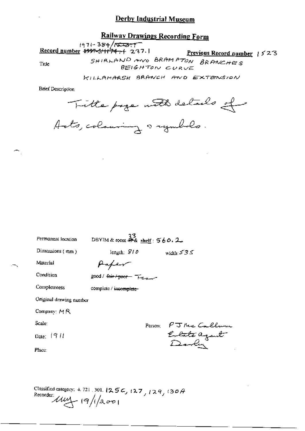### Railway Drawings Recording Form

1971-384/052377<br>Record number 4997-3/1174-1-237.1

Previous Record number 1523

Title

SHIRLAND AND BRAMPTON BRANCHES

BEIGHTON CURVE

KILLAMARSH BRANCH AND EXTENSION

**Brief Description** 

Title page with details of

Acts, colonning a rymbols.

| Permanent location      | DBYIM & room $\frac{33}{46}$ shelf: 560.2 |                                      |
|-------------------------|-------------------------------------------|--------------------------------------|
| Dimensions (mm)         | length: $S10$                             | width: $535$                         |
| Material                | Haper                                     |                                      |
| Condition               | good / <del>fair / poor -</del> Freezen   |                                      |
| Completeness            | complete / inco <del>mplete</del> -       |                                      |
| Original drawing number |                                           |                                      |
| Company: $M R$          |                                           |                                      |
| Scale:                  | Person:                                   |                                      |
| Date: $1911$            |                                           | PJ McCallu<br>Enlate agant<br>Dorlin |
| Place:                  |                                           |                                      |
|                         |                                           |                                      |
|                         |                                           |                                      |

Classified category: 4.721.301.1256, 127, 129, 130A<br>Recorder:<br> $\mathcal{U}\mathcal{U}\mathcal{U}$  (9/1/2001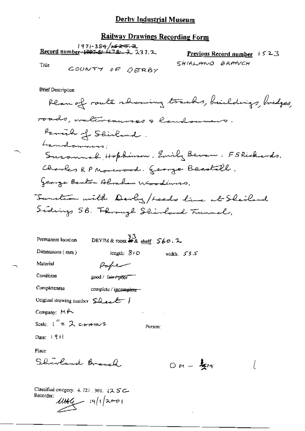### **Railway Drawings Recording Form**

| : 1971-384/ <del>1623.</del><br>Record number- <del>1997-5: 474.</del> 2 237.2 |                 | <b>Previous Record number</b> $1523$ |  |  |
|--------------------------------------------------------------------------------|-----------------|--------------------------------------|--|--|
| Title                                                                          | COONTY OF DERBY | SHIRLAND BRANCH                      |  |  |

**Brief Description** 

| Permanent location                      | - 33<br>DBYIM & room <i>钟&amp;</i> shelf: 560.2 |              |  |
|-----------------------------------------|-------------------------------------------------|--------------|--|
| Dimensions $(mn)$                       | length: $310$                                   | width, $535$ |  |
| Material                                | Kaper                                           |              |  |
| Condition                               | good / fair+poor                                |              |  |
| Completeness                            | complete / incomplete-                          |              |  |
| Original drawing number $\Omega$ even f |                                                 |              |  |
| Company: $M \rightarrow$                |                                                 |              |  |
| Scale: $1^{\prime\prime}$ = 2 ctranus   |                                                 | Person:      |  |
| Date: $ 91 $                            |                                                 |              |  |
| Place:                                  |                                                 |              |  |

Shirland Brauch

 $OM - \frac{1}{2}w$  $\big($ 

 $\ddot{\phantom{a}}$ 

Classified entegory: 4, 721, 301, 12, 5 C- $\frac{1046}{1912001}$ Recorder: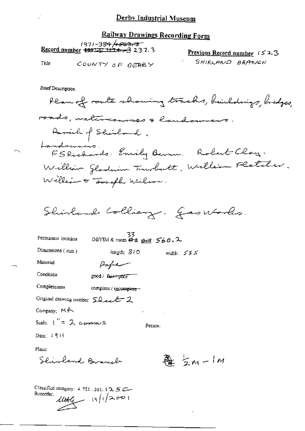**Railway Drawings Recording Form** 

| 1971-38 <del>4 /1<i>5</i>23.3</del> 5<br><u>Record number</u> $\frac{49975}{71124}$ , 3 2 3 7.3 | <u>Previous Record number</u> $1523$ |  |
|-------------------------------------------------------------------------------------------------|--------------------------------------|--|
|-------------------------------------------------------------------------------------------------|--------------------------------------|--|

Title

COUNTY OF DERBY

 $\ddot{\phantom{a}}$ 

SHIRLAND BRANCH

**Brief Description** 

Plan of route showing tracks, buildings, bridges, roads, watercourses & landoursers. Parach of Shirland. Landsumers. Emily Bevan. Robert Clay. William Gladein Trubertt, William Fletcher. William or Joseph Wilson.

Shirland Colliery. Gasworks.

| Permanent location                    | 33<br>DBYIM & room $#x$ shelf $560.2$ |  |  |              |  |
|---------------------------------------|---------------------------------------|--|--|--------------|--|
| Dimensions $(mm)$                     | length: SID                           |  |  | width: $535$ |  |
| Material                              |                                       |  |  |              |  |
| Condition                             | good / fair+poor                      |  |  |              |  |
| Completeness                          | complete / incomplete -               |  |  |              |  |
| Original drawing number 50 ext 2      |                                       |  |  |              |  |
| Company: MA<br>٠                      |                                       |  |  |              |  |
| Scale: $t'' = 2$ crossomes<br>Person: |                                       |  |  |              |  |
| Date: 1911                            |                                       |  |  |              |  |
| Place:                                |                                       |  |  |              |  |
| Inland, Branch                        |                                       |  |  | $5m-1m$      |  |

Classified category:  $4.721$ , 301,  $(2.5 \, \text{cm})$  $1004$  19/1/2001 Rucorder: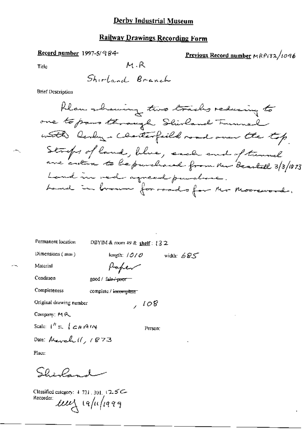### **Railway Drawings Recording Form**

#### Record number 1997-5/984-

Previous Record number MRP132/1096

Title

Shirland Branch

M.R

**Brief Description** 

Permanent location

DBYIM & room 49 & shelf: 132

length:  $1010$ 

Paper

Dimensions (mm)

width:  $685$ 

Material Condition

good / fair / pror

Completeness

complete / incomplete

Original drawing number

Company: MR

Scale:  $1^h = \int c \mu A/N$ 

Person:

 $, 108$ 

Date: March 11, 1873

Place:

Shirland

Classified category:  $4.721, 301, 12.5$ C-Recorder: um iapiliaag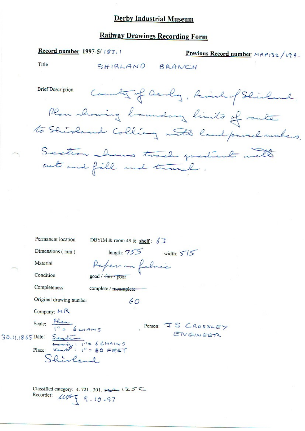# **Railway Drawings Recording Form**

SHIRLAND BRANCH

Previous Record number MRP132/194

Record number 1997-5/187.1

Title

|                    | <b>Brief Description</b><br>County of Devly, Ravish of Shirland.<br>Plan showing boundary limits of route<br>to Shirland Colliery with land parcel members.<br>Section shows track gradient with<br>cut and fill and tunnel. |
|--------------------|------------------------------------------------------------------------------------------------------------------------------------------------------------------------------------------------------------------------------|
|                    |                                                                                                                                                                                                                              |
|                    |                                                                                                                                                                                                                              |
|                    |                                                                                                                                                                                                                              |
|                    | Permanent location<br>DBYIM & room 49 & shelf: $6\overline{3}$                                                                                                                                                               |
|                    | length: $755$ width: $515$<br>Dimensions (mm)                                                                                                                                                                                |
|                    | Material<br>Paper on fabric                                                                                                                                                                                                  |
|                    | Condition<br>good / -fair / poor                                                                                                                                                                                             |
|                    | Completeness<br>complete / incomplete                                                                                                                                                                                        |
|                    | Original drawing number<br>60                                                                                                                                                                                                |
|                    | Company: $M R$                                                                                                                                                                                                               |
| $30.41.1865$ Date: | Scale: $\frac{Plnm}{1!}$ 6 CHAINS<br>Person: JS CROSSLEY<br>ENGINEER                                                                                                                                                         |
|                    | $S$ and $S$ = $1$ $\frac{1}{1}$ = $6$ $\frac{1}{1}$ + $\frac{1}{1}$ = $60$ FEET<br>Place:<br>Shirland                                                                                                                        |
|                    | Classified category: 4, 721, 301, $\leftrightarrow$ 125<br>Recorder:<br>$118788.10 - 97$                                                                                                                                     |